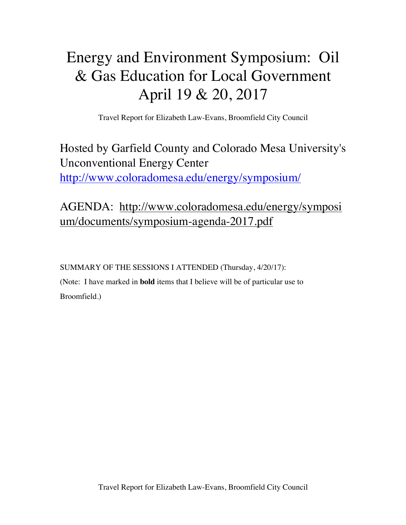# Energy and Environment Symposium: Oil & Gas Education for Local Government April 19 & 20, 2017

Travel Report for Elizabeth Law-Evans, Broomfield City Council

# Hosted by Garfield County and Colorado Mesa University's Unconventional Energy Center http://www.coloradomesa.edu/energy/symposium/

AGENDA: http://www.coloradomesa.edu/energy/symposi um/documents/symposium-agenda-2017.pdf

SUMMARY OF THE SESSIONS I ATTENDED (Thursday, 4/20/17): (Note: I have marked in **bold** items that I believe will be of particular use to Broomfield.)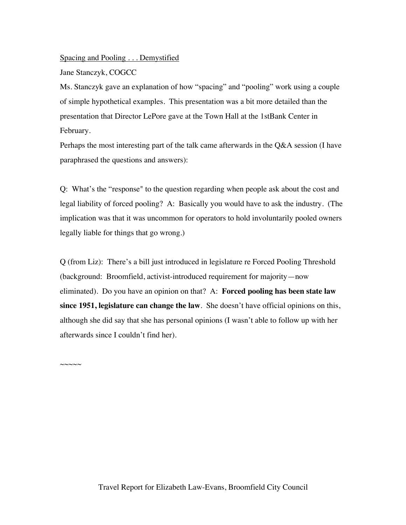#### Spacing and Pooling . . . Demystified

Jane Stanczyk, COGCC

 $\sim\sim\sim\sim\sim$ 

Ms. Stanczyk gave an explanation of how "spacing" and "pooling" work using a couple of simple hypothetical examples. This presentation was a bit more detailed than the presentation that Director LePore gave at the Town Hall at the 1stBank Center in February.

Perhaps the most interesting part of the talk came afterwards in the Q&A session (I have paraphrased the questions and answers):

Q: What's the "response" to the question regarding when people ask about the cost and legal liability of forced pooling? A: Basically you would have to ask the industry. (The implication was that it was uncommon for operators to hold involuntarily pooled owners legally liable for things that go wrong.)

Q (from Liz): There's a bill just introduced in legislature re Forced Pooling Threshold (background: Broomfield, activist-introduced requirement for majority—now eliminated). Do you have an opinion on that? A: **Forced pooling has been state law since 1951, legislature can change the law**. She doesn't have official opinions on this, although she did say that she has personal opinions (I wasn't able to follow up with her afterwards since I couldn't find her).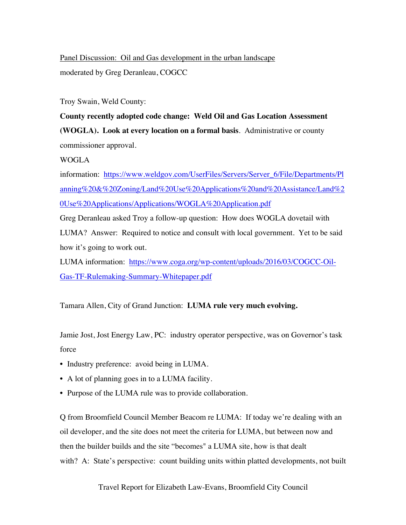Panel Discussion: Oil and Gas development in the urban landscape moderated by Greg Deranleau, COGCC

Troy Swain, Weld County:

**County recently adopted code change: Weld Oil and Gas Location Assessment (WOGLA). Look at every location on a formal basis**. Administrative or county commissioner approval.

WOGLA

information: https://www.weldgov.com/UserFiles/Servers/Server\_6/File/Departments/Pl anning%20&%20Zoning/Land%20Use%20Applications%20and%20Assistance/Land%2 0Use%20Applications/Applications/WOGLA%20Application.pdf

Greg Deranleau asked Troy a follow-up question: How does WOGLA dovetail with LUMA? Answer: Required to notice and consult with local government. Yet to be said how it's going to work out.

LUMA information: https://www.coga.org/wp-content/uploads/2016/03/COGCC-Oil-Gas-TF-Rulemaking-Summary-Whitepaper.pdf

Tamara Allen, City of Grand Junction: **LUMA rule very much evolving.**

Jamie Jost, Jost Energy Law, PC: industry operator perspective, was on Governor's task force

- Industry preference: avoid being in LUMA.
- A lot of planning goes in to a LUMA facility.
- Purpose of the LUMA rule was to provide collaboration.

Q from Broomfield Council Member Beacom re LUMA: If today we're dealing with an oil developer, and the site does not meet the criteria for LUMA, but between now and then the builder builds and the site "becomes" a LUMA site, how is that dealt with? A: State's perspective: count building units within platted developments, not built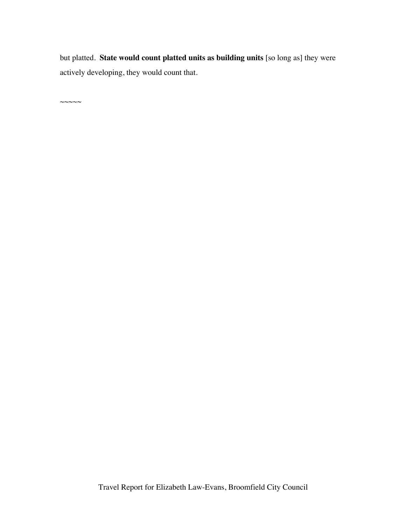but platted. **State would count platted units as building units** [so long as] they were actively developing, they would count that.

 $\sim\sim\sim\sim\sim$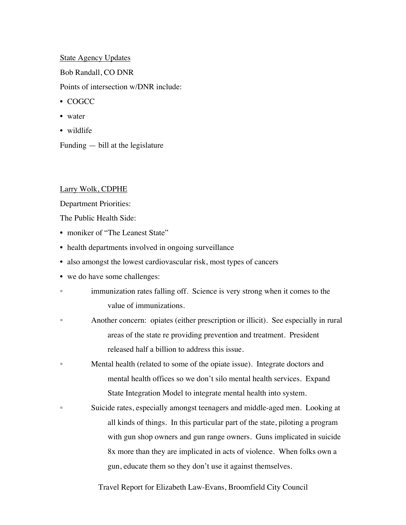# State Agency Updates

Bob Randall, CO DNR

Points of intersection w/DNR include:

- COGCC
- water
- wildlife

Funding — bill at the legislature

#### Larry Wolk, CDPHE

Department Priorities:

The Public Health Side:

- moniker of "The Leanest State"
- health departments involved in ongoing surveillance
- also amongst the lowest cardiovascular risk, most types of cancers
- we do have some challenges:
- immunization rates falling off. Science is very strong when it comes to the value of immunizations.
- Another concern: opiates (either prescription or illicit). See especially in rural areas of the state re providing prevention and treatment. President released half a billion to address this issue.
- Mental health (related to some of the opiate issue). Integrate doctors and mental health offices so we don't silo mental health services. Expand State Integration Model to integrate mental health into system.
- Suicide rates, especially amongst teenagers and middle-aged men. Looking at all kinds of things. In this particular part of the state, piloting a program with gun shop owners and gun range owners. Guns implicated in suicide 8x more than they are implicated in acts of violence. When folks own a gun, educate them so they don't use it against themselves.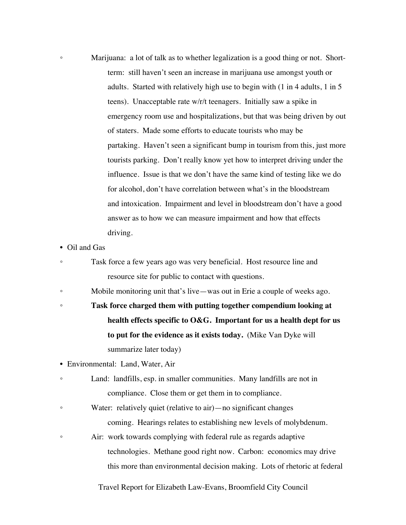- Marijuana: a lot of talk as to whether legalization is a good thing or not. Shortterm: still haven't seen an increase in marijuana use amongst youth or adults. Started with relatively high use to begin with (1 in 4 adults, 1 in 5 teens). Unacceptable rate w/r/t teenagers. Initially saw a spike in emergency room use and hospitalizations, but that was being driven by out of staters. Made some efforts to educate tourists who may be partaking. Haven't seen a significant bump in tourism from this, just more tourists parking. Don't really know yet how to interpret driving under the influence. Issue is that we don't have the same kind of testing like we do for alcohol, don't have correlation between what's in the bloodstream and intoxication. Impairment and level in bloodstream don't have a good answer as to how we can measure impairment and how that effects driving.
- Oil and Gas
- Task force a few years ago was very beneficial. Host resource line and resource site for public to contact with questions.
- Mobile monitoring unit that's live—was out in Erie a couple of weeks ago.
- **Task force charged them with putting together compendium looking at health effects specific to O&G. Important for us a health dept for us to put for the evidence as it exists today.** (Mike Van Dyke will summarize later today)
- Environmental: Land, Water, Air
- Land: landfills, esp. in smaller communities. Many landfills are not in compliance. Close them or get them in to compliance.
- Water: relatively quiet (relative to air)—no significant changes coming. Hearings relates to establishing new levels of molybdenum.
- Air: work towards complying with federal rule as regards adaptive technologies. Methane good right now. Carbon: economics may drive this more than environmental decision making. Lots of rhetoric at federal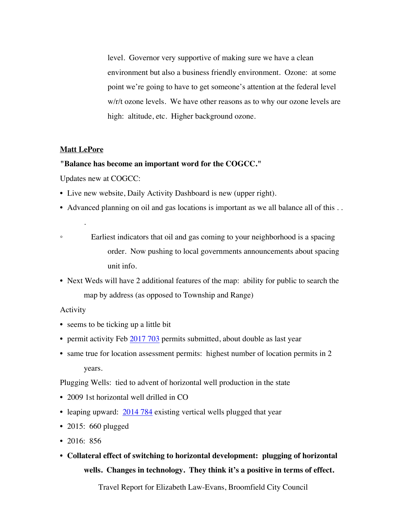level. Governor very supportive of making sure we have a clean environment but also a business friendly environment. Ozone: at some point we're going to have to get someone's attention at the federal level w/r/t ozone levels. We have other reasons as to why our ozone levels are high: altitude, etc. Higher background ozone.

# **Matt LePore**

.

#### **"Balance has become an important word for the COGCC."**

Updates new at COGCC:

- Live new website, Daily Activity Dashboard is new (upper right).
- Advanced planning on oil and gas locations is important as we all balance all of this . .

• Earliest indicators that oil and gas coming to your neighborhood is a spacing order. Now pushing to local governments announcements about spacing unit info.

• Next Weds will have 2 additional features of the map: ability for public to search the map by address (as opposed to Township and Range)

# Activity

- seems to be ticking up a little bit
- permit activity Feb 2017 703 permits submitted, about double as last year
- same true for location assessment permits: highest number of location permits in 2 years.

Plugging Wells: tied to advent of horizontal well production in the state

- 2009 1st horizontal well drilled in CO
- leaping upward:  $\frac{2014784}{2014}$  existing vertical wells plugged that year
- 2015: 660 plugged
- 2016: 856
- **Collateral effect of switching to horizontal development: plugging of horizontal wells. Changes in technology. They think it's a positive in terms of effect.**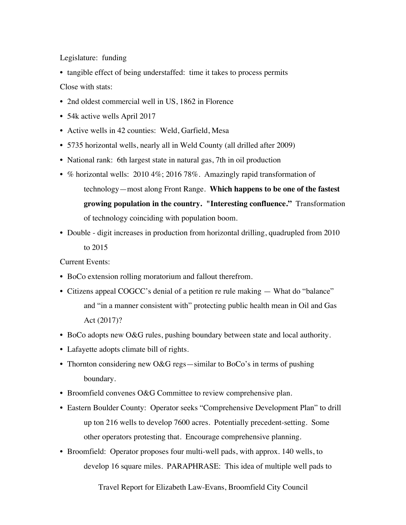Legislature: funding

• tangible effect of being understaffed: time it takes to process permits

Close with stats:

- 2nd oldest commercial well in US, 1862 in Florence
- 54k active wells April 2017
- Active wells in 42 counties: Weld, Garfield, Mesa
- 5735 horizontal wells, nearly all in Weld County (all drilled after 2009)
- National rank: 6th largest state in natural gas, 7th in oil production
- % horizontal wells: 2010 4%; 2016 78%. Amazingly rapid transformation of technology—most along Front Range. **Which happens to be one of the fastest growing population in the country. "Interesting confluence."** Transformation of technology coinciding with population boom.
- Double digit increases in production from horizontal drilling, quadrupled from 2010 to 2015

Current Events:

- BoCo extension rolling moratorium and fallout therefrom.
- Citizens appeal COGCC's denial of a petition re rule making What do "balance" and "in a manner consistent with" protecting public health mean in Oil and Gas Act (2017)?
- BoCo adopts new O&G rules, pushing boundary between state and local authority.
- Lafayette adopts climate bill of rights.
- Thornton considering new O&G regs—similar to BoCo's in terms of pushing boundary.
- Broomfield convenes O&G Committee to review comprehensive plan.
- Eastern Boulder County: Operator seeks "Comprehensive Development Plan" to drill up ton 216 wells to develop 7600 acres. Potentially precedent-setting. Some other operators protesting that. Encourage comprehensive planning.
- Broomfield: Operator proposes four multi-well pads, with approx. 140 wells, to develop 16 square miles. PARAPHRASE: This idea of multiple well pads to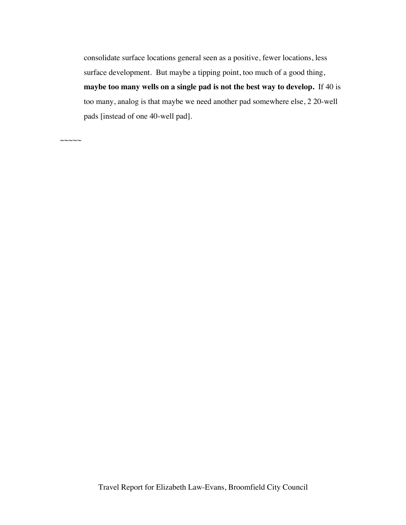consolidate surface locations general seen as a positive, fewer locations, less surface development. But maybe a tipping point, too much of a good thing, **maybe too many wells on a single pad is not the best way to develop.** If 40 is too many, analog is that maybe we need another pad somewhere else, 2 20-well pads [instead of one 40-well pad].

 $\sim\sim\sim\sim\sim$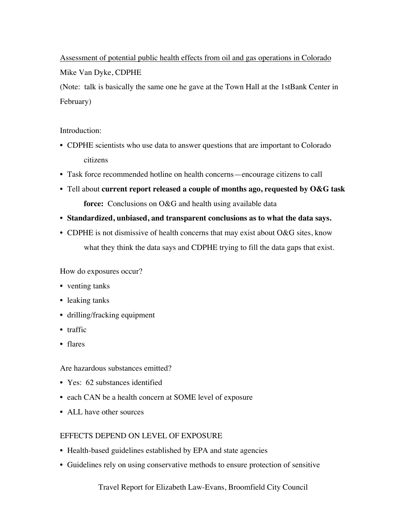Assessment of potential public health effects from oil and gas operations in Colorado Mike Van Dyke, CDPHE

(Note: talk is basically the same one he gave at the Town Hall at the 1stBank Center in February)

# Introduction:

- CDPHE scientists who use data to answer questions that are important to Colorado citizens
- Task force recommended hotline on health concerns—encourage citizens to call
- Tell about **current report released a couple of months ago, requested by O&G task force:** Conclusions on O&G and health using available data
- **Standardized, unbiased, and transparent conclusions as to what the data says.**
- CDPHE is not dismissive of health concerns that may exist about O&G sites, know what they think the data says and CDPHE trying to fill the data gaps that exist.

How do exposures occur?

- venting tanks
- leaking tanks
- drilling/fracking equipment
- traffic
- flares

Are hazardous substances emitted?

- Yes: 62 substances identified
- each CAN be a health concern at SOME level of exposure
- ALL have other sources

# EFFECTS DEPEND ON LEVEL OF EXPOSURE

- Health-based guidelines established by EPA and state agencies
- Guidelines rely on using conservative methods to ensure protection of sensitive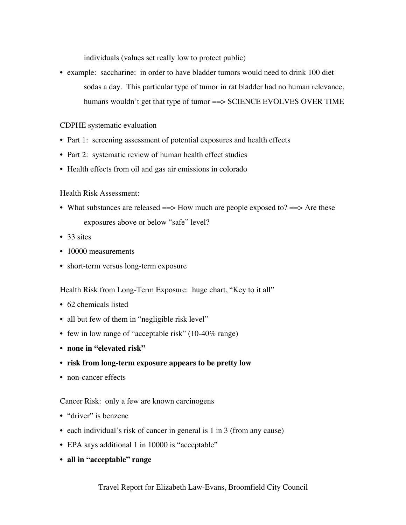individuals (values set really low to protect public)

• example: saccharine: in order to have bladder tumors would need to drink 100 diet sodas a day. This particular type of tumor in rat bladder had no human relevance, humans wouldn't get that type of tumor = SCIENCE EVOLVES OVER TIME

# CDPHE systematic evaluation

- Part 1: screening assessment of potential exposures and health effects
- Part 2: systematic review of human health effect studies
- Health effects from oil and gas air emissions in colorado

# Health Risk Assessment:

- What substances are released  $\equiv$  > How much are people exposed to?  $\equiv$  > Are these exposures above or below "safe" level?
- 33 sites
- 10000 measurements
- short-term versus long-term exposure

Health Risk from Long-Term Exposure: huge chart, "Key to it all"

- 62 chemicals listed
- all but few of them in "negligible risk level"
- few in low range of "acceptable risk" (10-40% range)
- **none in "elevated risk"**
- **risk from long-term exposure appears to be pretty low**
- non-cancer effects

# Cancer Risk: only a few are known carcinogens

- "driver" is benzene
- each individual's risk of cancer in general is 1 in 3 (from any cause)
- EPA says additional 1 in 10000 is "acceptable"
- **all in "acceptable" range**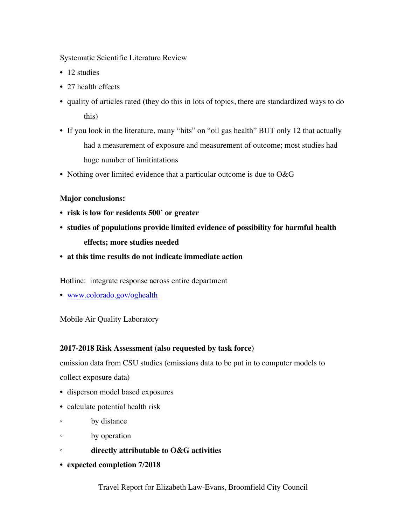Systematic Scientific Literature Review

- 12 studies
- 27 health effects
- quality of articles rated (they do this in lots of topics, there are standardized ways to do this)
- If you look in the literature, many "hits" on "oil gas health" BUT only 12 that actually had a measurement of exposure and measurement of outcome; most studies had huge number of limitiatations
- Nothing over limited evidence that a particular outcome is due to O&G

# **Major conclusions:**

- **risk is low for residents 500' or greater**
- **studies of populations provide limited evidence of possibility for harmful health effects; more studies needed**
- **at this time results do not indicate immediate action**

Hotline: integrate response across entire department

• www.colorado.gov/oghealth

# Mobile Air Quality Laboratory

#### **2017-2018 Risk Assessment (also requested by task force)**

emission data from CSU studies (emissions data to be put in to computer models to collect exposure data)

- disperson model based exposures
- calculate potential health risk
- by distance
- by operation
- **directly attributable to O&G activities**
- **expected completion 7/2018**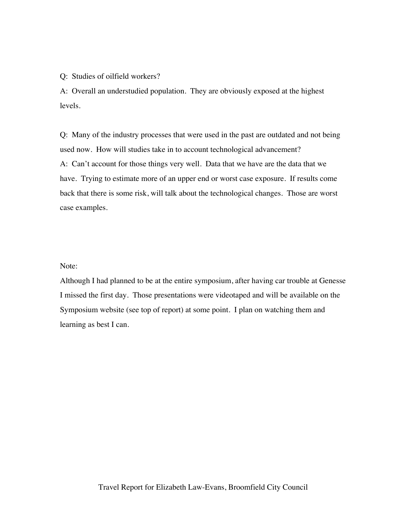# Q: Studies of oilfield workers?

A: Overall an understudied population. They are obviously exposed at the highest levels.

Q: Many of the industry processes that were used in the past are outdated and not being used now. How will studies take in to account technological advancement? A: Can't account for those things very well. Data that we have are the data that we have. Trying to estimate more of an upper end or worst case exposure. If results come back that there is some risk, will talk about the technological changes. Those are worst case examples.

#### Note:

Although I had planned to be at the entire symposium, after having car trouble at Genesse I missed the first day. Those presentations were videotaped and will be available on the Symposium website (see top of report) at some point. I plan on watching them and learning as best I can.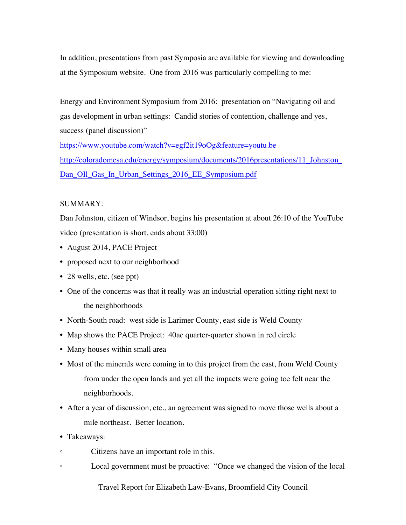In addition, presentations from past Symposia are available for viewing and downloading at the Symposium website. One from 2016 was particularly compelling to me:

Energy and Environment Symposium from 2016: presentation on "Navigating oil and gas development in urban settings: Candid stories of contention, challenge and yes, success (panel discussion)"

https://www.youtube.com/watch?v=egf2it19oOg&feature=youtu.be http://coloradomesa.edu/energy/symposium/documents/2016presentations/11\_Johnston\_ Dan\_OIl\_Gas\_In\_Urban\_Settings\_2016\_EE\_Symposium.pdf

# SUMMARY:

Dan Johnston, citizen of Windsor, begins his presentation at about 26:10 of the YouTube video (presentation is short, ends about 33:00)

- August 2014, PACE Project
- proposed next to our neighborhood
- 28 wells, etc. (see ppt)
- One of the concerns was that it really was an industrial operation sitting right next to the neighborhoods
- North-South road: west side is Larimer County, east side is Weld County
- Map shows the PACE Project: 40ac quarter-quarter shown in red circle
- Many houses within small area
- Most of the minerals were coming in to this project from the east, from Weld County from under the open lands and yet all the impacts were going toe felt near the neighborhoods.
- After a year of discussion, etc., an agreement was signed to move those wells about a mile northeast. Better location.
- Takeaways:
- Citizens have an important role in this.
- Local government must be proactive: "Once we changed the vision of the local